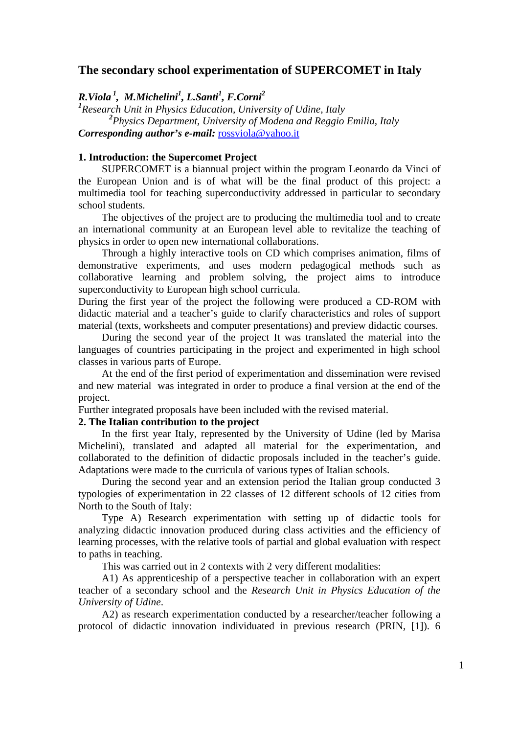## **The secondary school experimentation of SUPERCOMET in Italy**

*R.Viola 1, M.Michelini1 , L.Santi<sup>1</sup> , F.Corni<sup>2</sup>*

*1 Research Unit in Physics Education, University of Udine, Italy 2 Physics Department, University of Modena and Reggio Emilia, Italy Corresponding author's e-mail:* [rossviola@yahoo.it](mailto:rossviola@yahoo.it)

#### **1. Introduction: the Supercomet Project**

SUPERCOMET is a biannual project within the program Leonardo da Vinci of the European Union and is of what will be the final product of this project: a multimedia tool for teaching superconductivity addressed in particular to secondary school students.

The objectives of the project are to producing the multimedia tool and to create an international community at an European level able to revitalize the teaching of physics in order to open new international collaborations.

Through a highly interactive tools on CD which comprises animation, films of demonstrative experiments, and uses modern pedagogical methods such as collaborative learning and problem solving, the project aims to introduce superconductivity to European high school curricula.

During the first year of the project the following were produced a CD-ROM with didactic material and a teacher's guide to clarify characteristics and roles of support material (texts, worksheets and computer presentations) and preview didactic courses.

During the second year of the project It was translated the material into the languages of countries participating in the project and experimented in high school classes in various parts of Europe.

At the end of the first period of experimentation and dissemination were revised and new material was integrated in order to produce a final version at the end of the project.

Further integrated proposals have been included with the revised material.

# **2. The Italian contribution to the project**

In the first year Italy, represented by the University of Udine (led by Marisa Michelini), translated and adapted all material for the experimentation, and collaborated to the definition of didactic proposals included in the teacher's guide. Adaptations were made to the curricula of various types of Italian schools.

During the second year and an extension period the Italian group conducted 3 typologies of experimentation in 22 classes of 12 different schools of 12 cities from North to the South of Italy:

Type A) Research experimentation with setting up of didactic tools for analyzing didactic innovation produced during class activities and the efficiency of learning processes, with the relative tools of partial and global evaluation with respect to paths in teaching.

This was carried out in 2 contexts with 2 very different modalities:

A1) As apprenticeship of a perspective teacher in collaboration with an expert teacher of a secondary school and the *Research Unit in Physics Education of the University of Udine*.

A2) as research experimentation conducted by a researcher/teacher following a protocol of didactic innovation individuated in previous research (PRIN, [1]). 6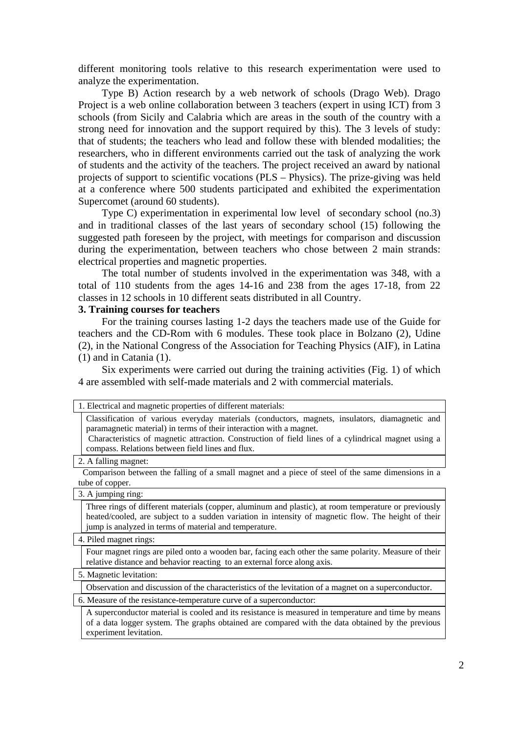different monitoring tools relative to this research experimentation were used to analyze the experimentation.

Type B) Action research by a web network of schools (Drago Web). Drago Project is a web online collaboration between 3 teachers (expert in using ICT) from 3 schools (from Sicily and Calabria which are areas in the south of the country with a strong need for innovation and the support required by this). The 3 levels of study: that of students; the teachers who lead and follow these with blended modalities; the researchers, who in different environments carried out the task of analyzing the work of students and the activity of the teachers. The project received an award by national projects of support to scientific vocations (PLS – Physics). The prize-giving was held at a conference where 500 students participated and exhibited the experimentation Supercomet (around 60 students).

Type C) experimentation in experimental low level of secondary school (no.3) and in traditional classes of the last years of secondary school (15) following the suggested path foreseen by the project, with meetings for comparison and discussion during the experimentation, between teachers who chose between 2 main strands: electrical properties and magnetic properties.

The total number of students involved in the experimentation was 348, with a total of 110 students from the ages 14-16 and 238 from the ages 17-18, from 22 classes in 12 schools in 10 different seats distributed in all Country.

#### **3. Training courses for teachers**

For the training courses lasting 1-2 days the teachers made use of the Guide for teachers and the CD-Rom with 6 modules. These took place in Bolzano (2), Udine (2), in the National Congress of the Association for Teaching Physics (AIF), in Latina (1) and in Catania (1).

Six experiments were carried out during the training activities (Fig. 1) of which 4 are assembled with self-made materials and 2 with commercial materials.

|                                                                     | 1. Electrical and magnetic properties of different materials:                                                                                                                                                                                                                                                                    |
|---------------------------------------------------------------------|----------------------------------------------------------------------------------------------------------------------------------------------------------------------------------------------------------------------------------------------------------------------------------------------------------------------------------|
|                                                                     | Classification of various everyday materials (conductors, magnets, insulators, diamagnetic and<br>paramagnetic material) in terms of their interaction with a magnet.<br>Characteristics of magnetic attraction. Construction of field lines of a cylindrical magnet using a<br>compass. Relations between field lines and flux. |
| 2. A falling magnet:                                                |                                                                                                                                                                                                                                                                                                                                  |
|                                                                     | Comparison between the falling of a small magnet and a piece of steel of the same dimensions in a<br>tube of copper.                                                                                                                                                                                                             |
| 3. A jumping ring:                                                  |                                                                                                                                                                                                                                                                                                                                  |
|                                                                     | Three rings of different materials (copper, aluminum and plastic), at room temperature or previously<br>heated/cooled, are subject to a sudden variation in intensity of magnetic flow. The height of their<br>jump is analyzed in terms of material and temperature.                                                            |
| 4. Piled magnet rings:                                              |                                                                                                                                                                                                                                                                                                                                  |
|                                                                     | Four magnet rings are piled onto a wooden bar, facing each other the same polarity. Measure of their<br>relative distance and behavior reacting to an external force along axis.                                                                                                                                                 |
| 5. Magnetic levitation:                                             |                                                                                                                                                                                                                                                                                                                                  |
|                                                                     | Observation and discussion of the characteristics of the levitation of a magnet on a superconductor.                                                                                                                                                                                                                             |
| 6. Measure of the resistance-temperature curve of a superconductor: |                                                                                                                                                                                                                                                                                                                                  |
|                                                                     | A superconductor material is cooled and its resistance is measured in temperature and time by means<br>of a data logger system. The graphs obtained are compared with the data obtained by the previous<br>experiment levitation.                                                                                                |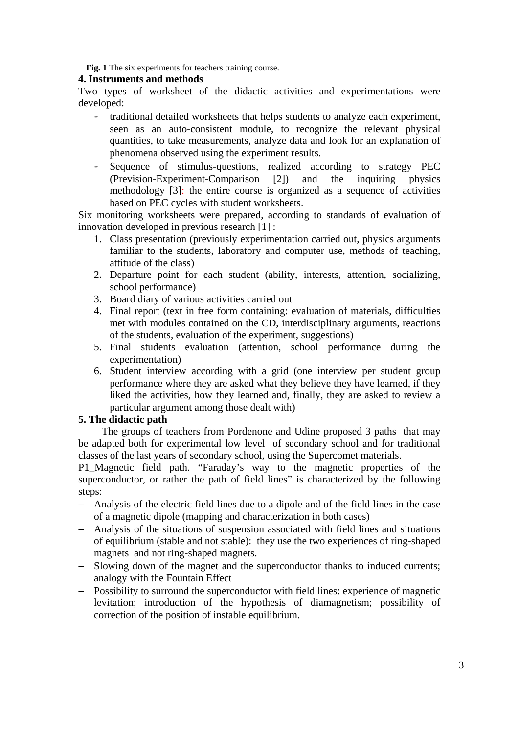**Fig. 1** The six experiments for teachers training course.

### **4. Instruments and methods**

Two types of worksheet of the didactic activities and experimentations were developed:

- traditional detailed worksheets that helps students to analyze each experiment, seen as an auto-consistent module, to recognize the relevant physical quantities, to take measurements, analyze data and look for an explanation of phenomena observed using the experiment results.
- Sequence of stimulus-questions, realized according to strategy PEC (Prevision-Experiment-Comparison [2]) and the inquiring physics methodology [3]: the entire course is organized as a sequence of activities based on PEC cycles with student worksheets.

Six monitoring worksheets were prepared, according to standards of evaluation of innovation developed in previous research [1] :

- 1. Class presentation (previously experimentation carried out, physics arguments familiar to the students, laboratory and computer use, methods of teaching, attitude of the class)
- 2. Departure point for each student (ability, interests, attention, socializing, school performance)
- 3. Board diary of various activities carried out
- 4. Final report (text in free form containing: evaluation of materials, difficulties met with modules contained on the CD, interdisciplinary arguments, reactions of the students, evaluation of the experiment, suggestions)
- 5. Final students evaluation (attention, school performance during the experimentation)
- 6. Student interview according with a grid (one interview per student group performance where they are asked what they believe they have learned, if they liked the activities, how they learned and, finally, they are asked to review a particular argument among those dealt with)

#### **5. The didactic path**

The groups of teachers from Pordenone and Udine proposed 3 paths that may be adapted both for experimental low level of secondary school and for traditional classes of the last years of secondary school, using the Supercomet materials.

P1\_Magnetic field path. "Faraday's way to the magnetic properties of the superconductor, or rather the path of field lines" is characterized by the following steps:

- − Analysis of the electric field lines due to a dipole and of the field lines in the case of a magnetic dipole (mapping and characterization in both cases)
- − Analysis of the situations of suspension associated with field lines and situations of equilibrium (stable and not stable): they use the two experiences of ring-shaped magnets and not ring-shaped magnets.
- − Slowing down of the magnet and the superconductor thanks to induced currents; analogy with the Fountain Effect
- − Possibility to surround the superconductor with field lines: experience of magnetic levitation; introduction of the hypothesis of diamagnetism; possibility of correction of the position of instable equilibrium.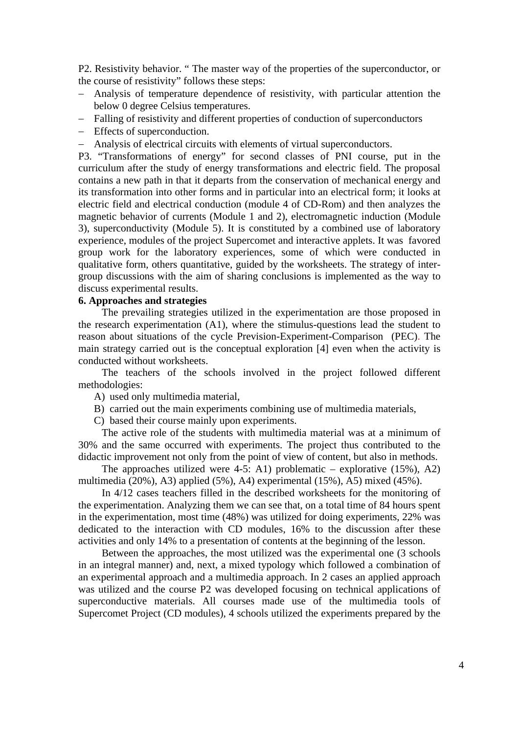P2. Resistivity behavior. " The master way of the properties of the superconductor, or the course of resistivity" follows these steps:

- − Analysis of temperature dependence of resistivity, with particular attention the below 0 degree Celsius temperatures.
- − Falling of resistivity and different properties of conduction of superconductors
- − Effects of superconduction.
- − Analysis of electrical circuits with elements of virtual superconductors.

P3. "Transformations of energy" for second classes of PNI course, put in the curriculum after the study of energy transformations and electric field. The proposal contains a new path in that it departs from the conservation of mechanical energy and its transformation into other forms and in particular into an electrical form; it looks at electric field and electrical conduction (module 4 of CD-Rom) and then analyzes the magnetic behavior of currents (Module 1 and 2), electromagnetic induction (Module 3), superconductivity (Module 5). It is constituted by a combined use of laboratory experience, modules of the project Supercomet and interactive applets. It was favored group work for the laboratory experiences, some of which were conducted in qualitative form, others quantitative, guided by the worksheets. The strategy of intergroup discussions with the aim of sharing conclusions is implemented as the way to discuss experimental results.

#### **6. Approaches and strategies**

The prevailing strategies utilized in the experimentation are those proposed in the research experimentation (A1), where the stimulus-questions lead the student to reason about situations of the cycle Prevision-Experiment-Comparison (PEC). The main strategy carried out is the conceptual exploration [4] even when the activity is conducted without worksheets.

The teachers of the schools involved in the project followed different methodologies:

- A) used only multimedia material,
- B) carried out the main experiments combining use of multimedia materials,
- C) based their course mainly upon experiments.

The active role of the students with multimedia material was at a minimum of 30% and the same occurred with experiments. The project thus contributed to the didactic improvement not only from the point of view of content, but also in methods.

The approaches utilized were 4-5: A1) problematic – explorative  $(15\%)$ , A2) multimedia (20%), A3) applied (5%), A4) experimental (15%), A5) mixed (45%).

In 4/12 cases teachers filled in the described worksheets for the monitoring of the experimentation. Analyzing them we can see that, on a total time of 84 hours spent in the experimentation, most time (48%) was utilized for doing experiments, 22% was dedicated to the interaction with CD modules, 16% to the discussion after these activities and only 14% to a presentation of contents at the beginning of the lesson.

Between the approaches, the most utilized was the experimental one (3 schools in an integral manner) and, next, a mixed typology which followed a combination of an experimental approach and a multimedia approach. In 2 cases an applied approach was utilized and the course P2 was developed focusing on technical applications of superconductive materials. All courses made use of the multimedia tools of Supercomet Project (CD modules), 4 schools utilized the experiments prepared by the